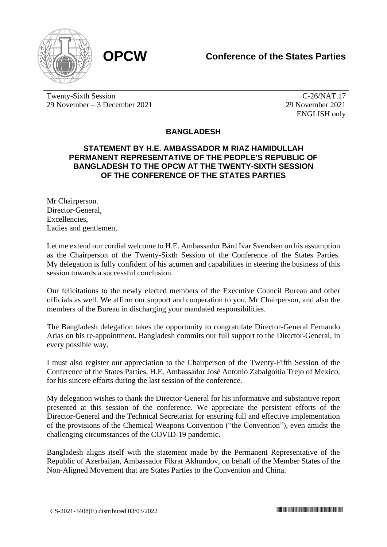



Twenty-Sixth Session 29 November – 3 December 2021

C-26/NAT.17 29 November 2021 ENGLISH only

## **BANGLADESH**

## **STATEMENT BY H.E. AMBASSADOR M RIAZ HAMIDULLAH PERMANENT REPRESENTATIVE OF THE PEOPLE'S REPUBLIC OF BANGLADESH TO THE OPCW AT THE TWENTY-SIXTH SESSION OF THE CONFERENCE OF THE STATES PARTIES**

Mr Chairperson. Director-General, Excellencies, Ladies and gentlemen,

Let me extend our cordial welcome to H.E. Ambassador Bård Ivar Svendsen on his assumption as the Chairperson of the Twenty-Sixth Session of the Conference of the States Parties. My delegation is fully confident of his acumen and capabilities in steering the business of this session towards a successful conclusion.

Our felicitations to the newly elected members of the Executive Council Bureau and other officials as well. We affirm our support and cooperation to you, Mr Chairperson, and also the members of the Bureau in discharging your mandated responsibilities.

The Bangladesh delegation takes the opportunity to congratulate Director-General Fernando Arias on his re-appointment. Bangladesh commits our full support to the Director-General, in every possible way.

I must also register our appreciation to the Chairperson of the Twenty-Fifth Session of the Conference of the States Parties, H.E. Ambassador José Antonio Zabalgoitia Trejo of Mexico, for his sincere efforts during the last session of the conference.

My delegation wishes to thank the Director-General for his informative and substantive report presented at this session of the conference. We appreciate the persistent efforts of the Director-General and the Technical Secretariat for ensuring full and effective implementation of the provisions of the Chemical Weapons Convention ("the Convention"), even amidst the challenging circumstances of the COVID-19 pandemic.

Bangladesh aligns itself with the statement made by the Permanent Representative of the Republic of Azerbaijan, Ambassador Fikrat Akhundov, on behalf of the Member States of the Non-Aligned Movement that are States Parties to the Convention and China.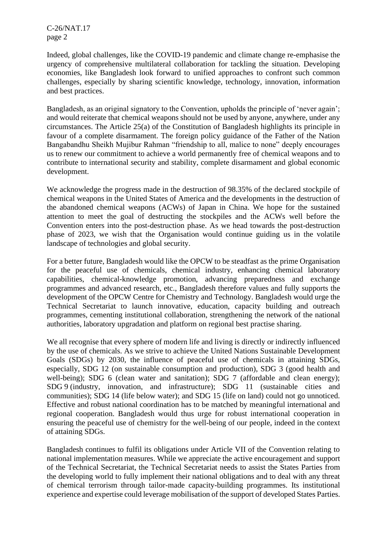C-26/NAT.17 page 2

Indeed, global challenges, like the COVID-19 pandemic and climate change re-emphasise the urgency of comprehensive multilateral collaboration for tackling the situation. Developing economies, like Bangladesh look forward to unified approaches to confront such common challenges, especially by sharing scientific knowledge, technology, innovation, information and best practices.

Bangladesh, as an original signatory to the Convention, upholds the principle of 'never again'; and would reiterate that chemical weapons should not be used by anyone, anywhere, under any circumstances. The Article 25(a) of the Constitution of Bangladesh highlights its principle in favour of a complete disarmament. The foreign policy guidance of the Father of the Nation Bangabandhu Sheikh Mujibur Rahman "friendship to all, malice to none" deeply encourages us to renew our commitment to achieve a world permanently free of chemical weapons and to contribute to international security and stability, complete disarmament and global economic development.

We acknowledge the progress made in the destruction of 98.35% of the declared stockpile of chemical weapons in the United States of America and the developments in the destruction of the abandoned chemical weapons (ACWs) of Japan in China. We hope for the sustained attention to meet the goal of destructing the stockpiles and the ACWs well before the Convention enters into the post-destruction phase. As we head towards the post-destruction phase of 2023, we wish that the Organisation would continue guiding us in the volatile landscape of technologies and global security.

For a better future, Bangladesh would like the OPCW to be steadfast as the prime Organisation for the peaceful use of chemicals, chemical industry, enhancing chemical laboratory capabilities, chemical-knowledge promotion, advancing preparedness and exchange programmes and advanced research, etc., Bangladesh therefore values and fully supports the development of the OPCW Centre for Chemistry and Technology. Bangladesh would urge the Technical Secretariat to launch innovative, education, capacity building and outreach programmes, cementing institutional collaboration, strengthening the network of the national authorities, laboratory upgradation and platform on regional best practise sharing.

We all recognise that every sphere of modern life and living is directly or indirectly influenced by the use of chemicals. As we strive to achieve the United Nations Sustainable Development Goals (SDGs) by 2030, the influence of peaceful use of chemicals in attaining SDGs, especially, SDG 12 (on sustainable consumption and production), SDG 3 (good health and well-being); SDG 6 (clean water and sanitation); SDG 7 (affordable and clean energy); SDG 9 (industry, innovation, and infrastructure); SDG 11 (sustainable cities and communities); SDG 14 (life below water); and SDG 15 (life on land) could not go unnoticed. Effective and robust national coordination has to be matched by meaningful international and regional cooperation. Bangladesh would thus urge for robust international cooperation in ensuring the peaceful use of chemistry for the well-being of our people, indeed in the context of attaining SDGs.

Bangladesh continues to fulfil its obligations under Article VII of the Convention relating to national implementation measures. While we appreciate the active encouragement and support of the Technical Secretariat, the Technical Secretariat needs to assist the States Parties from the developing world to fully implement their national obligations and to deal with any threat of chemical terrorism through tailor-made capacity-building programmes. Its institutional experience and expertise could leverage mobilisation of the support of developed States Parties.